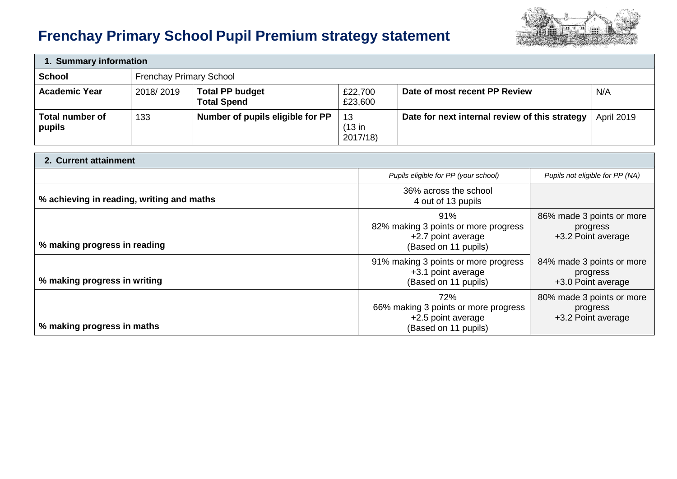# **Frenchay Primary School Pupil Premium strategy statement**



| 1. Summary information    |                                |                                              |                             |                                                |                   |  |
|---------------------------|--------------------------------|----------------------------------------------|-----------------------------|------------------------------------------------|-------------------|--|
| <b>School</b>             | <b>Frenchay Primary School</b> |                                              |                             |                                                |                   |  |
| <b>Academic Year</b>      | 2018/2019                      | <b>Total PP budget</b><br><b>Total Spend</b> | £22,700<br>£23,600          | Date of most recent PP Review                  | N/A               |  |
| Total number of<br>pupils | 133                            | Number of pupils eligible for PP             | -13<br>$(13$ in<br>2017/18) | Date for next internal review of this strategy | <b>April 2019</b> |  |

| 2. Current attainment                     |                                                                                           |                                                             |  |  |  |
|-------------------------------------------|-------------------------------------------------------------------------------------------|-------------------------------------------------------------|--|--|--|
|                                           | Pupils eligible for PP (your school)                                                      | Pupils not eligible for PP (NA)                             |  |  |  |
| % achieving in reading, writing and maths | 36% across the school<br>4 out of 13 pupils                                               |                                                             |  |  |  |
| % making progress in reading              | 91%<br>82% making 3 points or more progress<br>+2.7 point average<br>(Based on 11 pupils) | 86% made 3 points or more<br>progress<br>+3.2 Point average |  |  |  |
| % making progress in writing              | 91% making 3 points or more progress<br>+3.1 point average<br>(Based on 11 pupils)        | 84% made 3 points or more<br>progress<br>+3.0 Point average |  |  |  |
| % making progress in maths                | 72%<br>66% making 3 points or more progress<br>+2.5 point average<br>(Based on 11 pupils) | 80% made 3 points or more<br>progress<br>+3.2 Point average |  |  |  |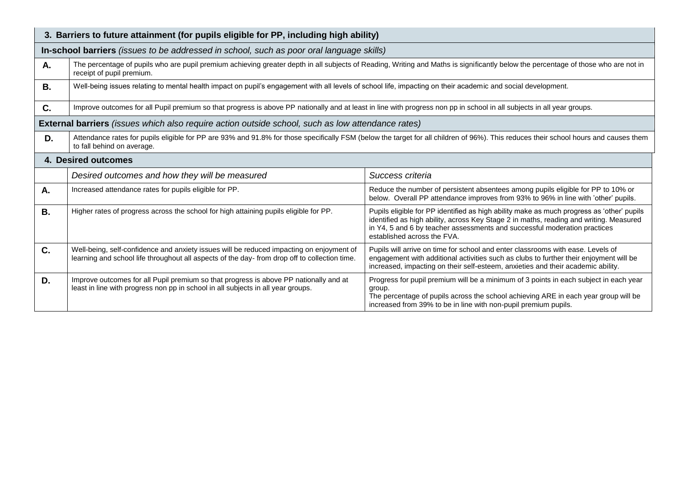| 3. Barriers to future attainment (for pupils eligible for PP, including high ability) |                                                                                                                                                                                                                    |                                                                                                                                                                                                                                                                                                 |  |  |  |  |
|---------------------------------------------------------------------------------------|--------------------------------------------------------------------------------------------------------------------------------------------------------------------------------------------------------------------|-------------------------------------------------------------------------------------------------------------------------------------------------------------------------------------------------------------------------------------------------------------------------------------------------|--|--|--|--|
|                                                                                       | In-school barriers (issues to be addressed in school, such as poor oral language skills)                                                                                                                           |                                                                                                                                                                                                                                                                                                 |  |  |  |  |
| Α.                                                                                    | The percentage of pupils who are pupil premium achieving greater depth in all subjects of Reading, Writing and Maths is significantly below the percentage of those who are not in<br>receipt of pupil premium.    |                                                                                                                                                                                                                                                                                                 |  |  |  |  |
| <b>B.</b>                                                                             | Well-being issues relating to mental health impact on pupil's engagement with all levels of school life, impacting on their academic and social development.                                                       |                                                                                                                                                                                                                                                                                                 |  |  |  |  |
| C.                                                                                    | Improve outcomes for all Pupil premium so that progress is above PP nationally and at least in line with progress non pp in school in all subjects in all year groups.                                             |                                                                                                                                                                                                                                                                                                 |  |  |  |  |
|                                                                                       | <b>External barriers</b> (issues which also require action outside school, such as low attendance rates)                                                                                                           |                                                                                                                                                                                                                                                                                                 |  |  |  |  |
| D.                                                                                    | Attendance rates for pupils eligible for PP are 93% and 91.8% for those specifically FSM (below the target for all children of 96%). This reduces their school hours and causes them<br>to fall behind on average. |                                                                                                                                                                                                                                                                                                 |  |  |  |  |
|                                                                                       | <b>4. Desired outcomes</b>                                                                                                                                                                                         |                                                                                                                                                                                                                                                                                                 |  |  |  |  |
|                                                                                       | Desired outcomes and how they will be measured                                                                                                                                                                     | Success criteria                                                                                                                                                                                                                                                                                |  |  |  |  |
| A.                                                                                    | Increased attendance rates for pupils eligible for PP.                                                                                                                                                             | Reduce the number of persistent absentees among pupils eligible for PP to 10% or<br>below. Overall PP attendance improves from 93% to 96% in line with 'other' pupils.                                                                                                                          |  |  |  |  |
| <b>B.</b>                                                                             | Higher rates of progress across the school for high attaining pupils eligible for PP.                                                                                                                              | Pupils eligible for PP identified as high ability make as much progress as 'other' pupils<br>identified as high ability, across Key Stage 2 in maths, reading and writing. Measured<br>in Y4, 5 and 6 by teacher assessments and successful moderation practices<br>established across the FVA. |  |  |  |  |
| C.                                                                                    | Well-being, self-confidence and anxiety issues will be reduced impacting on enjoyment of<br>learning and school life throughout all aspects of the day-from drop off to collection time.                           | Pupils will arrive on time for school and enter classrooms with ease. Levels of<br>engagement with additional activities such as clubs to further their enjoyment will be<br>increased, impacting on their self-esteem, anxieties and their academic ability.                                   |  |  |  |  |
| D.                                                                                    | Improve outcomes for all Pupil premium so that progress is above PP nationally and at<br>least in line with progress non pp in school in all subjects in all year groups.                                          | Progress for pupil premium will be a minimum of 3 points in each subject in each year<br>group.<br>The percentage of pupils across the school achieving ARE in each year group will be<br>increased from 39% to be in line with non-pupil premium pupils.                                       |  |  |  |  |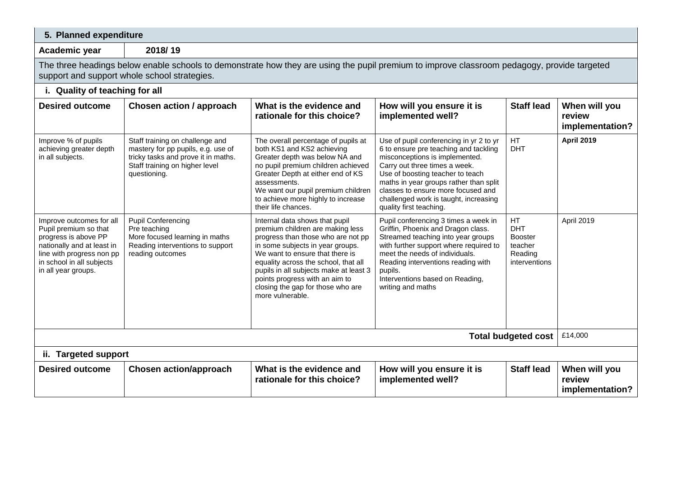## **5. Planned expenditure**

**Academic year 2018/ 19** 

The three headings below enable schools to demonstrate how they are using the pupil premium to improve classroom pedagogy, provide targeted support and support whole school strategies.

# **i. Quality of teaching for all**

| <b>Desired outcome</b>                                                                                                                                                                   | Chosen action / approach                                                                                                                                       | What is the evidence and<br>rationale for this choice?                                                                                                                                                                                                                                                                                                       | How will you ensure it is<br>implemented well?                                                                                                                                                                                                                                                                                              | <b>Staff lead</b>                                                         | When will you<br>review<br>implementation? |
|------------------------------------------------------------------------------------------------------------------------------------------------------------------------------------------|----------------------------------------------------------------------------------------------------------------------------------------------------------------|--------------------------------------------------------------------------------------------------------------------------------------------------------------------------------------------------------------------------------------------------------------------------------------------------------------------------------------------------------------|---------------------------------------------------------------------------------------------------------------------------------------------------------------------------------------------------------------------------------------------------------------------------------------------------------------------------------------------|---------------------------------------------------------------------------|--------------------------------------------|
| Improve % of pupils<br>achieving greater depth<br>in all subjects.                                                                                                                       | Staff training on challenge and<br>mastery for pp pupils, e.g. use of<br>tricky tasks and prove it in maths.<br>Staff training on higher level<br>questioning. | The overall percentage of pupils at<br>both KS1 and KS2 achieving<br>Greater depth was below NA and<br>no pupil premium children achieved<br>Greater Depth at either end of KS<br>assessments.<br>We want our pupil premium children<br>to achieve more highly to increase<br>their life chances.                                                            | Use of pupil conferencing in yr 2 to yr<br>6 to ensure pre teaching and tackling<br>misconceptions is implemented.<br>Carry out three times a week.<br>Use of boosting teacher to teach<br>maths in year groups rather than split<br>classes to ensure more focused and<br>challenged work is taught, increasing<br>quality first teaching. | HT.<br><b>DHT</b>                                                         | <b>April 2019</b>                          |
| Improve outcomes for all<br>Pupil premium so that<br>progress is above PP<br>nationally and at least in<br>line with progress non pp<br>in school in all subjects<br>in all year groups. | <b>Pupil Conferencing</b><br>Pre teaching<br>More focused learning in maths<br>Reading interventions to support<br>reading outcomes                            | Internal data shows that pupil<br>premium children are making less<br>progress than those who are not pp<br>in some subjects in year groups.<br>We want to ensure that there is<br>equality across the school, that all<br>pupils in all subjects make at least 3<br>points progress with an aim to<br>closing the gap for those who are<br>more vulnerable. | Pupil conferencing 3 times a week in<br>Griffin, Phoenix and Dragon class.<br>Streamed teaching into year groups<br>with further support where required to<br>meet the needs of individuals.<br>Reading interventions reading with<br>pupils.<br>Interventions based on Reading,<br>writing and maths                                       | HT<br><b>DHT</b><br><b>Booster</b><br>teacher<br>Reading<br>interventions | April 2019                                 |
| <b>Total budgeted cost</b><br>ii. Targeted support                                                                                                                                       |                                                                                                                                                                |                                                                                                                                                                                                                                                                                                                                                              |                                                                                                                                                                                                                                                                                                                                             |                                                                           |                                            |
| <b>Desired outcome</b>                                                                                                                                                                   | <b>Chosen action/approach</b>                                                                                                                                  | What is the evidence and<br>rationale for this choice?                                                                                                                                                                                                                                                                                                       | How will you ensure it is<br>implemented well?                                                                                                                                                                                                                                                                                              | <b>Staff lead</b>                                                         | When will you<br>review<br>implementation? |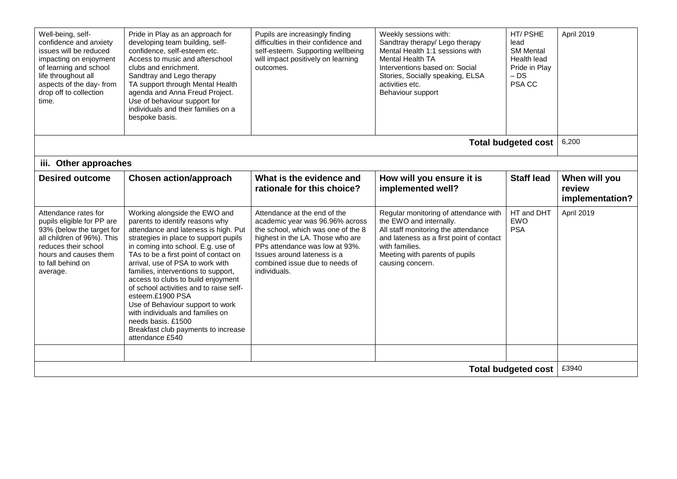| Well-being, self-<br>confidence and anxiety<br>issues will be reduced<br>impacting on enjoyment<br>of learning and school<br>life throughout all<br>aspects of the day- from<br>drop off to collection<br>time. | Pride in Play as an approach for<br>developing team building, self-<br>confidence, self-esteem etc.<br>Access to music and afterschool<br>clubs and enrichment.<br>Sandtray and Lego therapy<br>TA support through Mental Health<br>agenda and Anna Freud Project.<br>Use of behaviour support for<br>individuals and their families on a<br>bespoke basis.                                                                                                                                                                                                              | Pupils are increasingly finding<br>difficulties in their confidence and<br>self-esteem. Supporting wellbeing<br>will impact positively on learning<br>outcomes.                                                                                              | Weekly sessions with:<br>Sandtray therapy/ Lego therapy<br>Mental Health 1:1 sessions with<br>Mental Health TA<br>Interventions based on: Social<br>Stories, Socially speaking, ELSA<br>activities etc.<br>Behaviour support | HT/PSHE<br>lead<br><b>SM Mental</b><br>Health lead<br>Pride in Plav<br>$-DS$<br>PSA CC | April 2019                                 |
|-----------------------------------------------------------------------------------------------------------------------------------------------------------------------------------------------------------------|--------------------------------------------------------------------------------------------------------------------------------------------------------------------------------------------------------------------------------------------------------------------------------------------------------------------------------------------------------------------------------------------------------------------------------------------------------------------------------------------------------------------------------------------------------------------------|--------------------------------------------------------------------------------------------------------------------------------------------------------------------------------------------------------------------------------------------------------------|------------------------------------------------------------------------------------------------------------------------------------------------------------------------------------------------------------------------------|----------------------------------------------------------------------------------------|--------------------------------------------|
|                                                                                                                                                                                                                 |                                                                                                                                                                                                                                                                                                                                                                                                                                                                                                                                                                          |                                                                                                                                                                                                                                                              |                                                                                                                                                                                                                              | <b>Total budgeted cost</b>                                                             | 6,200                                      |
| iii. Other approaches                                                                                                                                                                                           |                                                                                                                                                                                                                                                                                                                                                                                                                                                                                                                                                                          |                                                                                                                                                                                                                                                              |                                                                                                                                                                                                                              |                                                                                        |                                            |
| <b>Desired outcome</b>                                                                                                                                                                                          | <b>Chosen action/approach</b>                                                                                                                                                                                                                                                                                                                                                                                                                                                                                                                                            | What is the evidence and<br>rationale for this choice?                                                                                                                                                                                                       | How will you ensure it is<br>implemented well?                                                                                                                                                                               | <b>Staff lead</b>                                                                      | When will you<br>review<br>implementation? |
| Attendance rates for<br>pupils eligible for PP are<br>93% (below the target for<br>all children of 96%). This<br>reduces their school<br>hours and causes them<br>to fall behind on<br>average.                 | Working alongside the EWO and<br>parents to identify reasons why<br>attendance and lateness is high. Put<br>strategies in place to support pupils<br>in coming into school. E.g. use of<br>TAs to be a first point of contact on<br>arrival, use of PSA to work with<br>families, interventions to support,<br>access to clubs to build enjoyment<br>of school activities and to raise self-<br>esteem.£1900 PSA<br>Use of Behaviour support to work<br>with individuals and families on<br>needs basis, £1500<br>Breakfast club payments to increase<br>attendance £540 | Attendance at the end of the<br>academic year was 96.96% across<br>the school, which was one of the 8<br>highest in the LA. Those who are<br>PPs attendance was low at 93%.<br>Issues around lateness is a<br>combined issue due to needs of<br>individuals. | Regular monitoring of attendance with<br>the EWO and internally.<br>All staff monitoring the attendance<br>and lateness as a first point of contact<br>with families.<br>Meeting with parents of pupils<br>causing concern.  | HT and DHT<br><b>EWO</b><br><b>PSA</b>                                                 | April 2019                                 |
|                                                                                                                                                                                                                 |                                                                                                                                                                                                                                                                                                                                                                                                                                                                                                                                                                          |                                                                                                                                                                                                                                                              |                                                                                                                                                                                                                              |                                                                                        |                                            |
| <b>Total budgeted cost</b>                                                                                                                                                                                      |                                                                                                                                                                                                                                                                                                                                                                                                                                                                                                                                                                          |                                                                                                                                                                                                                                                              |                                                                                                                                                                                                                              |                                                                                        | £3940                                      |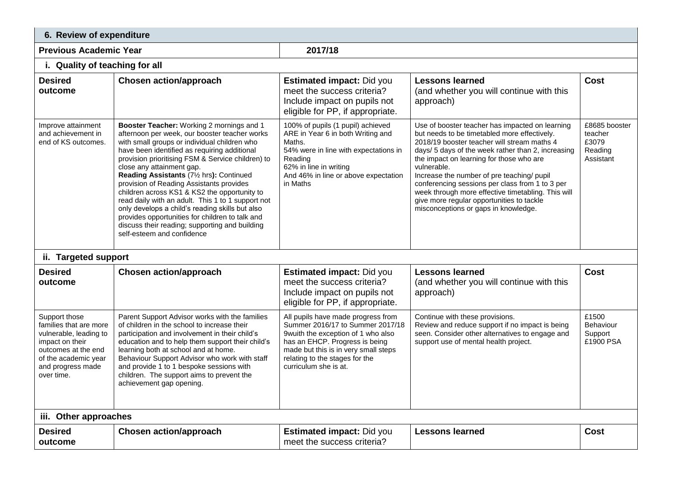| 6. Review of expenditure                                                                                                                                               |                                                                                                                                                                                                                                                                                                                                                                                                                                                                                                                                                                                                                                                                 |                                                                                                                                                                                                                                                   |                                                                                                                                                                                                                                                                                                                                                                                                                                                                                                             |                                                           |  |  |
|------------------------------------------------------------------------------------------------------------------------------------------------------------------------|-----------------------------------------------------------------------------------------------------------------------------------------------------------------------------------------------------------------------------------------------------------------------------------------------------------------------------------------------------------------------------------------------------------------------------------------------------------------------------------------------------------------------------------------------------------------------------------------------------------------------------------------------------------------|---------------------------------------------------------------------------------------------------------------------------------------------------------------------------------------------------------------------------------------------------|-------------------------------------------------------------------------------------------------------------------------------------------------------------------------------------------------------------------------------------------------------------------------------------------------------------------------------------------------------------------------------------------------------------------------------------------------------------------------------------------------------------|-----------------------------------------------------------|--|--|
| <b>Previous Academic Year</b>                                                                                                                                          |                                                                                                                                                                                                                                                                                                                                                                                                                                                                                                                                                                                                                                                                 | 2017/18                                                                                                                                                                                                                                           |                                                                                                                                                                                                                                                                                                                                                                                                                                                                                                             |                                                           |  |  |
| i. Quality of teaching for all                                                                                                                                         |                                                                                                                                                                                                                                                                                                                                                                                                                                                                                                                                                                                                                                                                 |                                                                                                                                                                                                                                                   |                                                                                                                                                                                                                                                                                                                                                                                                                                                                                                             |                                                           |  |  |
| <b>Desired</b><br>outcome                                                                                                                                              | <b>Chosen action/approach</b>                                                                                                                                                                                                                                                                                                                                                                                                                                                                                                                                                                                                                                   | <b>Estimated impact: Did you</b><br>meet the success criteria?<br>Include impact on pupils not<br>eligible for PP, if appropriate.                                                                                                                | <b>Lessons learned</b><br>(and whether you will continue with this<br>approach)                                                                                                                                                                                                                                                                                                                                                                                                                             | Cost                                                      |  |  |
| Improve attainment<br>and achievement in<br>end of KS outcomes.                                                                                                        | Booster Teacher: Working 2 mornings and 1<br>afternoon per week, our booster teacher works<br>with small groups or individual children who<br>have been identified as requiring additional<br>provision prioritising FSM & Service children) to<br>close any attainment gap.<br>Reading Assistants (71/2 hrs): Continued<br>provision of Reading Assistants provides<br>children across KS1 & KS2 the opportunity to<br>read daily with an adult. This 1 to 1 support not<br>only develops a child's reading skills but also<br>provides opportunities for children to talk and<br>discuss their reading; supporting and building<br>self-esteem and confidence | 100% of pupils (1 pupil) achieved<br>ARE in Year 6 in both Writing and<br>Maths.<br>54% were in line with expectations in<br>Reading<br>62% in line in writing<br>And 46% in line or above expectation<br>in Maths                                | Use of booster teacher has impacted on learning<br>but needs to be timetabled more effectively.<br>2018/19 booster teacher will stream maths 4<br>days/ 5 days of the week rather than 2, increasing<br>the impact on learning for those who are<br>vulnerable.<br>Increase the number of pre teaching/ pupil<br>conferencing sessions per class from 1 to 3 per<br>week through more effective timetabling. This will<br>give more regular opportunities to tackle<br>misconceptions or gaps in knowledge. | £8685 booster<br>teacher<br>£3079<br>Reading<br>Assistant |  |  |
| ii. Targeted support                                                                                                                                                   |                                                                                                                                                                                                                                                                                                                                                                                                                                                                                                                                                                                                                                                                 |                                                                                                                                                                                                                                                   |                                                                                                                                                                                                                                                                                                                                                                                                                                                                                                             |                                                           |  |  |
| <b>Desired</b><br>outcome                                                                                                                                              | <b>Chosen action/approach</b>                                                                                                                                                                                                                                                                                                                                                                                                                                                                                                                                                                                                                                   | <b>Estimated impact: Did you</b><br>meet the success criteria?<br>Include impact on pupils not<br>eligible for PP, if appropriate.                                                                                                                | <b>Lessons learned</b><br>(and whether you will continue with this<br>approach)                                                                                                                                                                                                                                                                                                                                                                                                                             | Cost                                                      |  |  |
| Support those<br>families that are more<br>vulnerable, leading to<br>impact on their<br>outcomes at the end<br>of the academic year<br>and progress made<br>over time. | Parent Support Advisor works with the families<br>of children in the school to increase their<br>participation and involvement in their child's<br>education and to help them support their child's<br>learning both at school and at home.<br>Behaviour Support Advisor who work with staff<br>and provide 1 to 1 bespoke sessions with<br>children. The support aims to prevent the<br>achievement gap opening.                                                                                                                                                                                                                                               | All pupils have made progress from<br>Summer 2016/17 to Summer 2017/18<br>9wuith the exception of 1 who also<br>has an EHCP. Progress is being<br>made but this is in very small steps<br>relating to the stages for the<br>curriculum she is at. | Continue with these provisions.<br>Review and reduce support if no impact is being<br>seen. Consider other alternatives to engage and<br>support use of mental health project.                                                                                                                                                                                                                                                                                                                              | £1500<br><b>Behaviour</b><br>Support<br>£1900 PSA         |  |  |
| iii. Other approaches                                                                                                                                                  |                                                                                                                                                                                                                                                                                                                                                                                                                                                                                                                                                                                                                                                                 |                                                                                                                                                                                                                                                   |                                                                                                                                                                                                                                                                                                                                                                                                                                                                                                             |                                                           |  |  |
| <b>Desired</b><br>outcome                                                                                                                                              | <b>Chosen action/approach</b>                                                                                                                                                                                                                                                                                                                                                                                                                                                                                                                                                                                                                                   | <b>Estimated impact: Did you</b><br>meet the success criteria?                                                                                                                                                                                    | <b>Lessons learned</b>                                                                                                                                                                                                                                                                                                                                                                                                                                                                                      | Cost                                                      |  |  |